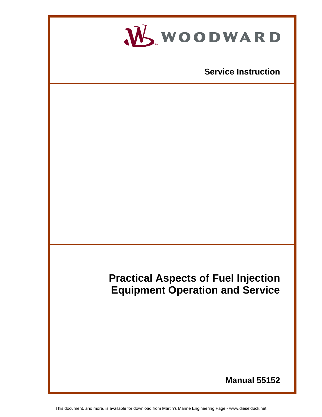

This document, and more, is available for download from Martin's Marine Engineering Page - www.dieselduck.net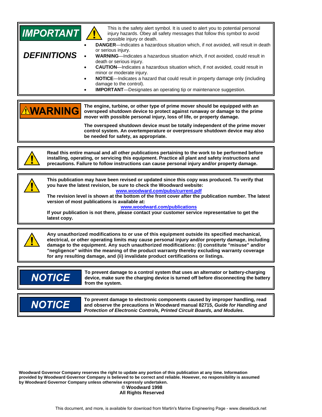| <b>IMPORTANT</b><br><b>DEFINITIONS</b>                                                                                                                                                                                                                                                                  | This is the safety alert symbol. It is used to alert you to potential personal<br>injury hazards. Obey all safety messages that follow this symbol to avoid<br>possible injury or death.<br>DANGER-Indicates a hazardous situation which, if not avoided, will result in death<br>or serious injury.<br>WARNING-Indicates a hazardous situation which, if not avoided, could result in<br>death or serious injury.<br><b>CAUTION</b> -Indicates a hazardous situation which, if not avoided, could result in<br>minor or moderate injury.<br>NOTICE-Indicates a hazard that could result in property damage only (including<br>damage to the control).<br><b>IMPORTANT</b> -Designates an operating tip or maintenance suggestion. |  |
|---------------------------------------------------------------------------------------------------------------------------------------------------------------------------------------------------------------------------------------------------------------------------------------------------------|------------------------------------------------------------------------------------------------------------------------------------------------------------------------------------------------------------------------------------------------------------------------------------------------------------------------------------------------------------------------------------------------------------------------------------------------------------------------------------------------------------------------------------------------------------------------------------------------------------------------------------------------------------------------------------------------------------------------------------|--|
| <b>NWARNING</b>                                                                                                                                                                                                                                                                                         | The engine, turbine, or other type of prime mover should be equipped with an<br>overspeed shutdown device to protect against runaway or damage to the prime<br>mover with possible personal injury, loss of life, or property damage.<br>The overspeed shutdown device must be totally independent of the prime mover<br>control system. An overtemperature or overpressure shutdown device may also<br>be needed for safety, as appropriate.                                                                                                                                                                                                                                                                                      |  |
| Read this entire manual and all other publications pertaining to the work to be performed before<br>installing, operating, or servicing this equipment. Practice all plant and safety instructions and<br>precautions. Failure to follow instructions can cause personal injury and/or property damage. |                                                                                                                                                                                                                                                                                                                                                                                                                                                                                                                                                                                                                                                                                                                                    |  |
| latest copy.                                                                                                                                                                                                                                                                                            | This publication may have been revised or updated since this copy was produced. To verify that<br>you have the latest revision, be sure to check the Woodward website:<br>www.woodward.com/pubs/current.pdf<br>The revision level is shown at the bottom of the front cover after the publication number. The latest<br>version of most publications is available at:<br>www.woodward.com/publications<br>If your publication is not there, please contact your customer service representative to get the                                                                                                                                                                                                                         |  |
|                                                                                                                                                                                                                                                                                                         | Any unauthorized modifications to or use of this equipment outside its specified mechanical,<br>electrical, or other operating limits may cause personal injury and/or property damage, including<br>damage to the equipment. Any such unauthorized modifications: (i) constitute "misuse" and/or<br>"negligence" within the meaning of the product warranty thereby excluding warranty coverage<br>for any resulting damage, and (ii) invalidate product certifications or listings.                                                                                                                                                                                                                                              |  |
| <b>NOTICE</b>                                                                                                                                                                                                                                                                                           | To prevent damage to a control system that uses an alternator or battery-charging<br>device, make sure the charging device is turned off before disconnecting the battery<br>from the system.                                                                                                                                                                                                                                                                                                                                                                                                                                                                                                                                      |  |
| <b>NOTICE</b>                                                                                                                                                                                                                                                                                           | To prevent damage to electronic components caused by improper handling, read<br>and observe the precautions in Woodward manual 82715, Guide for Handling and<br>Protection of Electronic Controls, Printed Circuit Boards, and Modules.                                                                                                                                                                                                                                                                                                                                                                                                                                                                                            |  |

**Woodward Governor Company reserves the right to update any portion of this publication at any time. Information provided by Woodward Governor Company is believed to be correct and reliable. However, no responsibility is assumed by Woodward Governor Company unless otherwise expressly undertaken. © Woodward 1998 All Rights Reserved**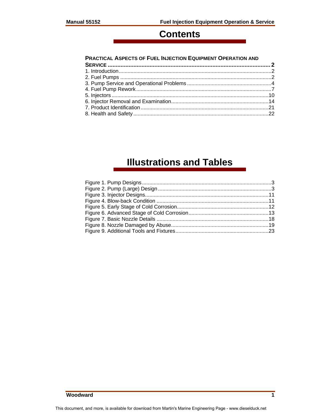# **Contents**

#### **PRACTICAL ASPECTS OF FUEL INJECTION EQUIPMENT OPERATION AND**

# **Illustrations and Tables**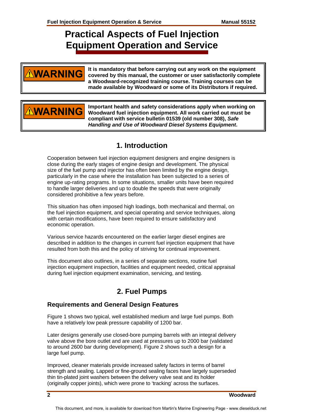# **Practical Aspects of Fuel Injection Equipment Operation and Service**

# **NARNING**

**It is mandatory that before carrying out any work on the equipment covered by this manual, the customer or user satisfactorily complete a Woodward-recognized training course. Training courses can be made available by Woodward or some of its Distributors if required.** 

# **WARNING**

**Important health and safety considerations apply when working on Woodward fuel injection equipment. All work carried out must be compliant with service bulletin 01539 (old number 308),** *Safe Handling and Use of Woodward Diesel Systems Equipment***.** 

# **1. Introduction**

Cooperation between fuel injection equipment designers and engine designers is close during the early stages of engine design and development. The physical size of the fuel pump and injector has often been limited by the engine design, particularly in the case where the installation has been subjected to a series of engine up-rating programs. In some situations, smaller units have been required to handle larger deliveries and up to double the speeds that were originally considered prohibitive a few years before.

This situation has often imposed high loadings, both mechanical and thermal, on the fuel injection equipment, and special operating and service techniques, along with certain modifications, have been required to ensure satisfactory and economic operation.

Various service hazards encountered on the earlier larger diesel engines are described in addition to the changes in current fuel injection equipment that have resulted from both this and the policy of striving for continual improvement.

This document also outlines, in a series of separate sections, routine fuel injection equipment inspection, facilities and equipment needed, critical appraisal during fuel injection equipment examination, servicing, and testing.

# **2. Fuel Pumps**

#### **Requirements and General Design Features**

Figure 1 shows two typical, well established medium and large fuel pumps. Both have a relatively low peak pressure capability of 1200 bar.

Later designs generally use closed-bore pumping barrels with an integral delivery valve above the bore outlet and are used at pressures up to 2000 bar (validated to around 2600 bar during development). Figure 2 shows such a design for a large fuel pump.

Improved, cleaner materials provide increased safety factors in terms of barrel strength and sealing. Lapped or fine-ground sealing faces have largely superseded thin tin-plated joint washers between the delivery valve seat and its holder (originally copper joints), which were prone to 'tracking' across the surfaces.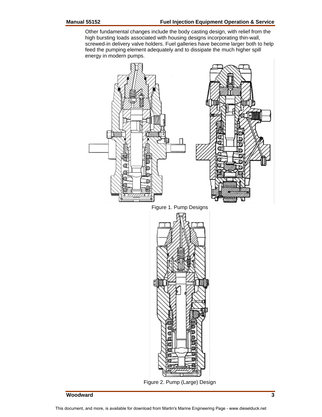Other fundamental changes include the body casting design, with relief from the high bursting loads associated with housing designs incorporating thin-wall, screwed-in delivery valve holders. Fuel galleries have become larger both to help feed the pumping element adequately and to dissipate the much higher spill energy in modern pumps.

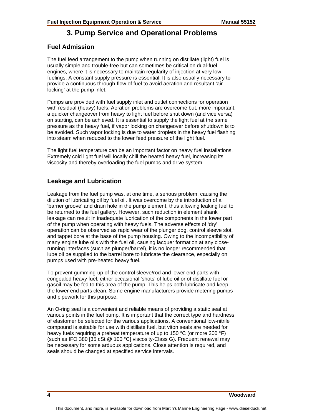## **3. Pump Service and Operational Problems**

#### **Fuel Admission**

The fuel feed arrangement to the pump when running on distillate (light) fuel is usually simple and trouble-free but can sometimes be critical on dual-fuel engines, where it is necessary to maintain regularity of injection at very low fuelings. A constant supply pressure is essential. It is also usually necessary to provide a continuous through-flow of fuel to avoid aeration and resultant 'air locking' at the pump inlet.

Pumps are provided with fuel supply inlet and outlet connections for operation with residual (heavy) fuels. Aeration problems are overcome but, more important, a quicker changeover from heavy to light fuel before shut down (and vice versa) on starting, can be achieved. It is essential to supply the light fuel at the same pressure as the heavy fuel, if vapor locking on changeover before shutdown is to be avoided. Such vapor locking is due to water droplets in the heavy fuel flashing into steam when reduced to the lower feed pressure of the light fuel.

The light fuel temperature can be an important factor on heavy fuel installations. Extremely cold light fuel will locally chill the heated heavy fuel, increasing its viscosity and thereby overloading the fuel pumps and drive system.

#### **Leakage and Lubrication**

Leakage from the fuel pump was, at one time, a serious problem, causing the dilution of lubricating oil by fuel oil. It was overcome by the introduction of a 'barrier groove' and drain hole in the pump element, thus allowing leaking fuel to be returned to the fuel gallery. However, such reduction in element shank leakage can result in inadequate lubrication of the components in the lower part of the pump when operating with heavy fuels. The adverse effects of 'dry' operation can be observed as rapid wear of the plunger dog, control sleeve slot, and tappet bore at the base of the pump housing. Owing to the incompatibility of many engine lube oils with the fuel oil, causing lacquer formation at any closerunning interfaces (such as plunger/barrel), it is no longer recommended that lube oil be supplied to the barrel bore to lubricate the clearance, especially on pumps used with pre-heated heavy fuel.

To prevent gumming-up of the control sleeve/rod and lower end parts with congealed heavy fuel, either occasional 'shots' of lube oil or of distillate fuel or gasoil may be fed to this area of the pump. This helps both lubricate and keep the lower end parts clean. Some engine manufacturers provide metering pumps and pipework for this purpose.

An O-ring seal is a convenient and reliable means of providing a static seal at various points in the fuel pump. It is important that the correct type and hardness of elastomer be selected for the various applications. A conventional low-nitrile compound is suitable for use with distillate fuel, but viton seals are needed for heavy fuels requiring a preheat temperature of up to 150 °C (or more 300 °F) (such as IFO 380 [35 cSt @ 100 °C] viscosity-Class G). Frequent renewal may be necessary for some arduous applications. Close attention is required, and seals should be changed at specified service intervals.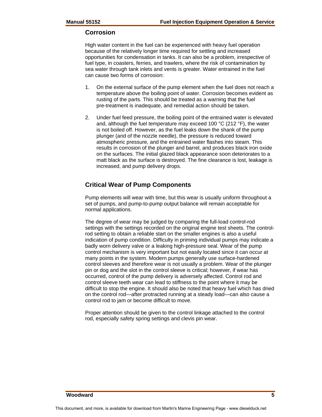#### **Corrosion**

High water content in the fuel can be experienced with heavy fuel operation because of the relatively longer time required for settling and increased opportunities for condensation in tanks. It can also be a problem, irrespective of fuel type, in coasters, ferries, and trawlers, where the risk of contamination by sea water through tank inlets and vents is greater. Water entrained in the fuel can cause two forms of corrosion:

- 1. On the external surface of the pump element when the fuel does not reach a temperature above the boiling point of water. Corrosion becomes evident as rusting of the parts. This should be treated as a warning that the fuel pre-treatment is inadequate, and remedial action should be taken.
- 2. Under fuel feed pressure, the boiling point of the entrained water is elevated and, although the fuel temperature may exceed 100  $^{\circ}$ C (212  $^{\circ}$ F), the water is not boiled off. However, as the fuel leaks down the shank of the pump plunger (and of the nozzle needle), the pressure is reduced toward atmospheric pressure, and the entrained water flashes into steam. This results in corrosion of the plunger and barrel, and produces black iron oxide on the surfaces. The initial glazed black appearance soon deteriorates to a matt black as the surface is destroyed. The fine clearance is lost, leakage is increased, and pump delivery drops.

#### **Critical Wear of Pump Components**

Pump elements will wear with time, but this wear is usually uniform throughout a set of pumps, and pump-to-pump output balance will remain acceptable for normal applications.

The degree of wear may be judged by comparing the full-load control-rod settings with the settings recorded on the original engine test sheets. The controlrod setting to obtain a reliable start on the smaller engines is also a useful indication of pump condition. Difficulty in priming individual pumps may indicate a badly worn delivery valve or a leaking high-pressure seal. Wear of the pump control mechanism is very important but not easily located since it can occur at many points in the system. Modern pumps generally use surface-hardened control sleeves and therefore wear is not usually a problem. Wear of the plunger pin or dog and the slot in the control sleeve is critical; however, if wear has occurred, control of the pump delivery is adversely affected. Control rod and control sleeve teeth wear can lead to stiffness to the point where it may be difficult to stop the engine. It should also be noted that heavy fuel which has dried on the control rod—after protracted running at a steady load—can also cause a control rod to jam or become difficult to move.

Proper attention should be given to the control linkage attached to the control rod, especially safety spring settings and clevis pin wear.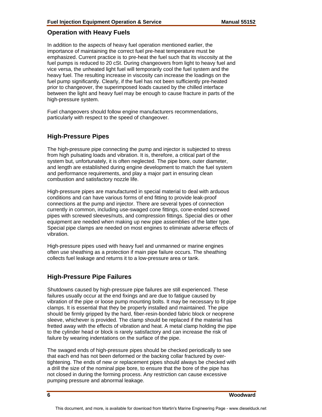#### **Operation with Heavy Fuels**

In addition to the aspects of heavy fuel operation mentioned earlier, the importance of maintaining the correct fuel pre-heat temperature must be emphasized. Current practice is to pre-heat the fuel such that its viscosity at the fuel pumps is reduced to 20 cSt. During changeovers from light to heavy fuel and vice versa, the unheated light fuel will temporarily cool the fuel system and the heavy fuel. The resulting increase in viscosity can increase the loadings on the fuel pump significantly. Clearly, if the fuel has not been sufficiently pre-heated prior to changeover, the superimposed loads caused by the chilled interface between the light and heavy fuel may be enough to cause fracture in parts of the high-pressure system.

Fuel changeovers should follow engine manufacturers recommendations, particularly with respect to the speed of changeover.

#### **High-Pressure Pipes**

The high-pressure pipe connecting the pump and injector is subjected to stress from high pulsating loads and vibration. It is, therefore, a critical part of the system but, unfortunately, it is often neglected. The pipe bore, outer diameter, and length are established during engine development to match the fuel system and performance requirements, and play a major part in ensuring clean combustion and satisfactory nozzle life.

High-pressure pipes are manufactured in special material to deal with arduous conditions and can have various forms of end fitting to provide leak-proof connections at the pump and injector. There are several types of connection currently in common, including use-swaged cone fittings, cone-ended screwed pipes with screwed sleeves/nuts, and compression fittings. Special dies or other equipment are needed when making up new pipe assemblies of the latter type. Special pipe clamps are needed on most engines to eliminate adverse effects of vibration.

High-pressure pipes used with heavy fuel and unmanned or marine engines often use sheathing as a protection if main pipe failure occurs. The sheathing collects fuel leakage and returns it to a low-pressure area or tank.

#### **High-Pressure Pipe Failures**

Shutdowns caused by high-pressure pipe failures are still experienced. These failures usually occur at the end fixings and are due to fatigue caused by vibration of the pipe or loose pump mounting bolts. It may be necessary to fit pipe clamps. It is essential that they be properly installed and maintained. The pipe should be firmly gripped by the hard, fiber-resin-bonded fabric block or neoprene sleeve, whichever is provided. The clamp should be replaced if the material has fretted away with the effects of vibration and heat. A metal clamp holding the pipe to the cylinder head or block is rarely satisfactory and can increase the risk of failure by wearing indentations on the surface of the pipe.

The swaged ends of high-pressure pipes should be checked periodically to see that each end has not been deformed or the backing collar fractured by overtightening. The ends of new or replacement pipes should always be checked with a drill the size of the nominal pipe bore, to ensure that the bore of the pipe has not closed in during the forming process. Any restriction can cause excessive pumping pressure and abnormal leakage.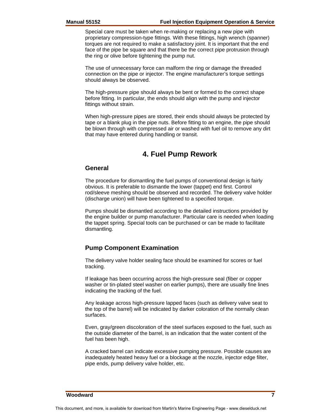Special care must be taken when re-making or replacing a new pipe with proprietary compression-type fittings. With these fittings, high wrench (spanner) torques are not required to make a satisfactory joint. It is important that the end face of the pipe be square and that there be the correct pipe protrusion through the ring or olive before tightening the pump nut.

The use of unnecessary force can malform the ring or damage the threaded connection on the pipe or injector. The engine manufacturer's torque settings should always be observed.

The high-pressure pipe should always be bent or formed to the correct shape before fitting. In particular, the ends should align with the pump and injector fittings without strain.

When high-pressure pipes are stored, their ends should always be protected by tape or a blank plug in the pipe nuts. Before fitting to an engine, the pipe should be blown through with compressed air or washed with fuel oil to remove any dirt that may have entered during handling or transit.

## **4. Fuel Pump Rework**

#### **General**

The procedure for dismantling the fuel pumps of conventional design is fairly obvious. It is preferable to dismantle the lower (tappet) end first. Control rod/sleeve meshing should be observed and recorded. The delivery valve holder (discharge union) will have been tightened to a specified torque.

Pumps should be dismantled according to the detailed instructions provided by the engine builder or pump manufacturer. Particular care is needed when loading the tappet spring. Special tools can be purchased or can be made to facilitate dismantling.

#### **Pump Component Examination**

The delivery valve holder sealing face should be examined for scores or fuel tracking.

If leakage has been occurring across the high-pressure seal (fiber or copper washer or tin-plated steel washer on earlier pumps), there are usually fine lines indicating the tracking of the fuel.

Any leakage across high-pressure lapped faces (such as delivery valve seat to the top of the barrel) will be indicated by darker coloration of the normally clean surfaces.

Even, gray/green discoloration of the steel surfaces exposed to the fuel, such as the outside diameter of the barrel, is an indication that the water content of the fuel has been high.

A cracked barrel can indicate excessive pumping pressure. Possible causes are inadequately heated heavy fuel or a blockage at the nozzle, injector edge filter, pipe ends, pump delivery valve holder, etc.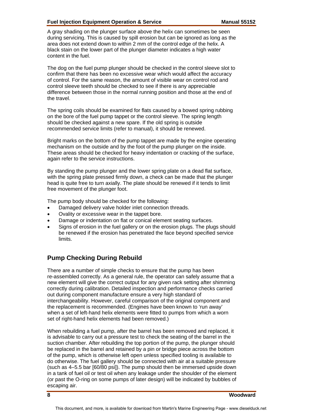#### **Fuel Injection Equipment Operation & Service Manual 55152**

A gray shading on the plunger surface above the helix can sometimes be seen during servicing. This is caused by spill erosion but can be ignored as long as the area does not extend down to within 2 mm of the control edge of the helix. A black stain on the lower part of the plunger diameter indicates a high water content in the fuel.

The dog on the fuel pump plunger should be checked in the control sleeve slot to confirm that there has been no excessive wear which would affect the accuracy of control. For the same reason, the amount of visible wear on control rod and control sleeve teeth should be checked to see if there is any appreciable difference between those in the normal running position and those at the end of the travel.

The spring coils should be examined for flats caused by a bowed spring rubbing on the bore of the fuel pump tappet or the control sleeve. The spring length should be checked against a new spare. If the old spring is outside recommended service limits (refer to manual), it should be renewed.

Bright marks on the bottom of the pump tappet are made by the engine operating mechanism on the outside and by the foot of the pump plunger on the inside. These areas should be checked for heavy indentation or cracking of the surface, again refer to the service instructions.

By standing the pump plunger and the lower spring plate on a dead flat surface, with the spring plate pressed firmly down, a check can be made that the plunger head is quite free to turn axially. The plate should be renewed if it tends to limit free movement of the plunger foot.

The pump body should be checked for the following:

- Damaged delivery valve holder inlet connection threads.
- Ovality or excessive wear in the tappet bore.
- Damage or indentation on flat or conical element seating surfaces.
- Signs of erosion in the fuel gallery or on the erosion plugs. The plugs should be renewed if the erosion has penetrated the face beyond specified service limits.

### **Pump Checking During Rebuild**

There are a number of simple checks to ensure that the pump has been re-assembled correctly. As a general rule, the operator can safely assume that a new element will give the correct output for any given rack setting after shimming correctly during calibration. Detailed inspection and performance checks carried out during component manufacture ensure a very high standard of interchangeability. However, careful comparison of the original component and the replacement is recommended. (Engines have been known to 'run away' when a set of left-hand helix elements were fitted to pumps from which a worn set of right-hand helix elements had been removed.)

When rebuilding a fuel pump, after the barrel has been removed and replaced, it is advisable to carry out a pressure test to check the seating of the barrel in the suction chamber. After rebuilding the top portion of the pump, the plunger should be replaced in the barrel and retained by a pin or bridge piece across the bottom of the pump, which is otherwise left open unless specified tooling is available to do otherwise. The fuel gallery should be connected with air at a suitable pressure (such as 4–5.5 bar [60/80 psi]). The pump should then be immersed upside down in a tank of fuel oil or test oil when any leakage under the shoulder of the element (or past the O-ring on some pumps of later design) will be indicated by bubbles of escaping air.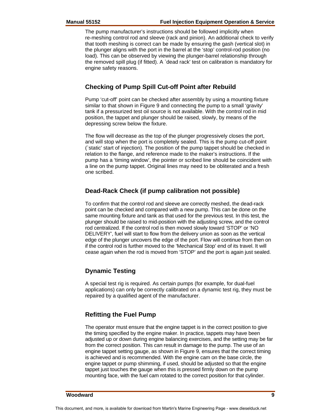The pump manufacturer's instructions should be followed implicitly when re-meshing control rod and sleeve (rack and pinion). An additional check to verify that tooth meshing is correct can be made by ensuring the gash (vertical slot) in the plunger aligns with the port in the barrel at the 'stop' control-rod position (no load). This can be observed by viewing the plunger-barrel relationship through the removed spill plug (if fitted). A `dead rack' test on calibration is mandatory for engine safety reasons.

#### **Checking of Pump Spill Cut-off Point after Rebuild**

Pump 'cut-off' point can be checked after assembly by using a mounting fixture similar to that shown in Figure 9 and connecting the pump to a small 'gravity' tank if a pressurized test oil source is not available. With the control rod in mid position, the tappet and plunger should be raised, slowly, by means of the depressing screw below the fixture.

The flow will decrease as the top of the plunger progressively closes the port, and will stop when the port is completely sealed. This is the pump cut-off point (`static' start of injection). The position of the pump tappet should be checked in relation to the flange, and reference made to the maker's instructions. If the pump has a 'timing window', the pointer or scribed line should be coincident with a line on the pump tappet. Original lines may need to be obliterated and a fresh one scribed.

#### **Dead-Rack Check (if pump calibration not possible)**

To confirm that the control rod and sleeve are correctly meshed, the dead-rack point can be checked and compared with a new pump. This can be done on the same mounting fixture and tank as that used for the previous test. In this test, the plunger should be raised to mid-position with the adjusting screw, and the control rod centralized. If the control rod is then moved slowly toward 'STOP' or 'NO DELIVERY', fuel will start to flow from the delivery union as soon as the vertical edge of the plunger uncovers the edge of the port. Flow will continue from then on if the control rod is further moved to the 'Mechanical Stop' end of its travel. It will cease again when the rod is moved from 'STOP' and the port is again just sealed.

#### **Dynamic Testing**

A special test rig is required. As certain pumps (for example, for dual-fuel applications) can only be correctly calibrated on a dynamic test rig, they must be repaired by a qualified agent of the manufacturer.

#### **Refitting the Fuel Pump**

The operator must ensure that the engine tappet is in the correct position to give the timing specified by the engine maker. In practice, tappets may have been adjusted up or down during engine balancing exercises, and the setting may be far from the correct position. This can result in damage to the pump. The use of an engine tappet setting gauge, as shown in Figure 9, ensures that the correct timing is achieved and is recommended. With the engine cam on the base circle, the engine tappet or pump shimming, if used, should be adjusted so that the engine tappet just touches the gauge when this is pressed firmly down on the pump mounting face, with the fuel cam rotated to the correct position for that cylinder.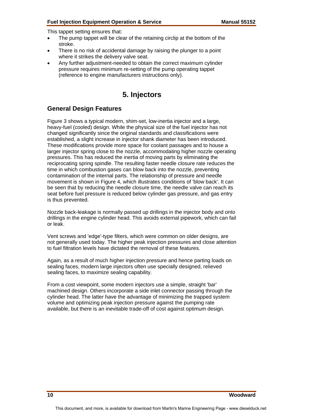This tappet setting ensures that:

- The pump tappet will be clear of the retaining circlip at the bottom of the stroke.
- There is no risk of accidental damage by raising the plunger to a point where it strikes the delivery valve seat.
- Any further adjustment-needed to obtain the correct maximum cylinder pressure requires minimum re-setting of the pump operating tappet (reference to engine manufacturers instructions only).

# **5. Injectors**

#### **General Design Features**

Figure 3 shows a typical modern, shim-set, low-inertia injector and a large, heavy-fuel (cooled) design. While the physical size of the fuel injector has not changed significantly since the original standards and classifications were established, a slight increase in injector shank diameter has been introduced. These modifications provide more space for coolant passages and to house a larger injector spring close to the nozzle, accommodating higher nozzle operating pressures. This has reduced the inertia of moving parts by eliminating the reciprocating spring spindle. The resulting faster needle closure rate reduces the time in which combustion gases can blow back into the nozzle, preventing contamination of the internal parts. The relationship of pressure and needle movement is shown in Figure 4, which illustrates conditions of 'blow back'. It can be seen that by reducing the needle closure time, the needle valve can reach its seat before fuel pressure is reduced below cylinder gas pressure, and gas entry is thus prevented.

Nozzle back-leakage is normally passed up drillings in the injector body and onto drillings in the engine cylinder head. This avoids external pipework, which can fail or leak.

Vent screws and 'edge'-type filters, which were common on older designs, are not generally used today. The higher peak injection pressures and close attention to fuel filtration levels have dictated the removal of these features.

Again, as a result of much higher injection pressure and hence parting loads on sealing faces, modern large injectors often use specially designed, relieved sealing faces, to maximize sealing capability.

From a cost viewpoint, some modern injectors use a simple, straight 'bar' machined design. Others incorporate a side inlet connector passing through the cylinder head. The latter have the advantage of minimizing the trapped system volume and optimizing peak injection pressure against the pumping rate available, but there is an inevitable trade-off of cost against optimum design.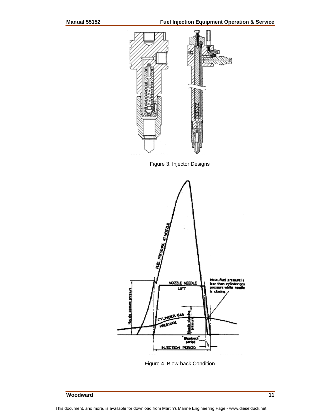

Figure 3. Injector Designs



Figure 4. Blow-back Condition

### **Woodward 11 Woodward** 11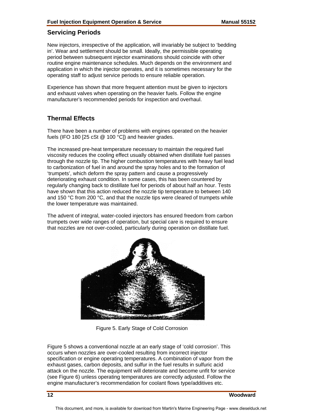#### **Servicing Periods**

New injectors, irrespective of the application, will invariably be subject to 'bedding in'. Wear and settlement should be small. Ideally, the permissible operating period between subsequent injector examinations should coincide with other routine engine maintenance schedules. Much depends on the environment and application in which the injector operates, and it is sometimes necessary for the operating staff to adjust service periods to ensure reliable operation.

Experience has shown that more frequent attention must be given to injectors and exhaust valves when operating on the heavier fuels. Follow the engine manufacturer's recommended periods for inspection and overhaul.

#### **Thermal Effects**

There have been a number of problems with engines operated on the heavier fuels (IFO 180 [25 cSt @ 100 °C]) and heavier grades.

The increased pre-heat temperature necessary to maintain the required fuel viscosity reduces the cooling effect usually obtained when distillate fuel passes through the nozzle tip. The higher combustion temperatures with heavy fuel lead to carbonization of fuel in and around the spray holes and to the formation of 'trumpets', which deform the spray pattern and cause a progressively deteriorating exhaust condition. In some cases, this has been countered by regularly changing back to distillate fuel for periods of about half an hour. Tests have shown that this action reduced the nozzle tip temperature to between 140 and 150 °C from 200 °C, and that the nozzle tips were cleared of trumpets while the lower temperature was maintained.

The advent of integral, water-cooled injectors has ensured freedom from carbon trumpets over wide ranges of operation, but special care is required to ensure that nozzles are not over-cooled, particularly during operation on distillate fuel.



Figure 5. Early Stage of Cold Corrosion

Figure 5 shows a conventional nozzle at an early stage of 'cold corrosion'. This occurs when nozzles are over-cooled resulting from incorrect injector specification or engine operating temperatures. A combination of vapor from the exhaust gases, carbon deposits, and sulfur in the fuel results in sulfuric acid attack on the nozzle. The equipment will deteriorate and become unfit for service (see Figure 6) unless operating temperatures are correctly adjusted. Follow the engine manufacturer's recommendation for coolant flows type/additives etc.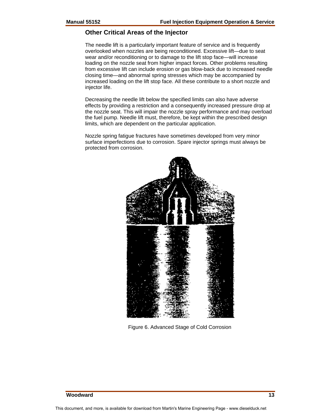#### **Other Critical Areas of the Injector**

The needle lift is a particularly important feature of service and is frequently overlooked when nozzles are being reconditioned. Excessive lift—due to seat wear and/or reconditioning or to damage to the lift stop face—will increase loading on the nozzle seat from higher impact forces. Other problems resulting from excessive lift can include erosion or gas blow-back due to increased needle closing time—and abnormal spring stresses which may be accompanied by increased loading on the lift stop face. All these contribute to a short nozzle and injector life.

Decreasing the needle lift below the specified limits can also have adverse effects by providing a restriction and a consequently increased pressure drop at the nozzle seat. This will impair the nozzle spray performance and may overload the fuel pump. Needle lift must, therefore, be kept within the prescribed design limits, which are dependent on the particular application.

Nozzle spring fatigue fractures have sometimes developed from very minor surface imperfections due to corrosion. Spare injector springs must always be protected from corrosion.



Figure 6. Advanced Stage of Cold Corrosion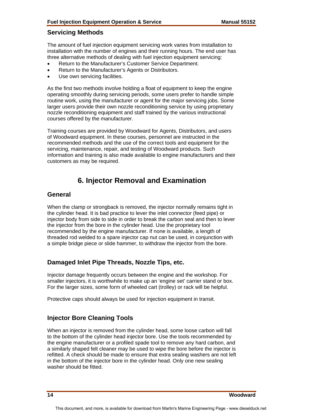#### **Servicing Methods**

The amount of fuel injection equipment servicing work varies from installation to installation with the number of engines and their running hours. The end user has three alternative methods of dealing with fuel injection equipment servicing:

- Return to the Manufacturer's Customer Service Department.
- Return to the Manufacturer's Agents or Distributors.
- Use own servicing facilities.

As the first two methods involve holding a float of equipment to keep the engine operating smoothly during servicing periods, some users prefer to handle simple routine work, using the manufacturer or agent for the major servicing jobs. Some larger users provide their own nozzle reconditioning service by using proprietary nozzle reconditioning equipment and staff trained by the various instructional courses offered by the manufacturer.

Training courses are provided by Woodward for Agents, Distributors, and users of Woodward equipment. In these courses, personnel are instructed in the recommended methods and the use of the correct tools and equipment for the servicing, maintenance, repair, and testing of Woodward products. Such information and training is also made available to engine manufacturers and their customers as may be required.

## **6. Injector Removal and Examination**

#### **General**

When the clamp or strongback is removed, the injector normally remains tight in the cylinder head. It is bad practice to lever the inlet connector (feed pipe) or injector body from side to side in order to break the carbon seal and then to lever the injector from the bore in the cylinder head. Use the proprietary tool recommended by the engine manufacturer. If none is available, a length of threaded rod welded to a spare injector cap nut can be used, in conjunction with a simple bridge piece or slide hammer, to withdraw the injector from the bore.

#### **Damaged Inlet Pipe Threads, Nozzle Tips, etc.**

Injector damage frequently occurs between the engine and the workshop. For smaller injectors, it is worthwhile to make up an 'engine set' carrier stand or box. For the larger sizes, some form of wheeled cart (trolley) or rack will be helpful.

Protective caps should always be used for injection equipment in transit.

#### **Injector Bore Cleaning Tools**

When an injector is removed from the cylinder head, some loose carbon will fall to the bottom of the cylinder head injector bore. Use the tools recommended by the engine manufacturer or a profiled spade tool to remove any hard carbon, and a similarly shaped felt cleaner may be used to wipe the bore before the injector is refitted. A check should be made to ensure that extra sealing washers are not left in the bottom of the injector bore in the cylinder head. Only one new sealing washer should be fitted.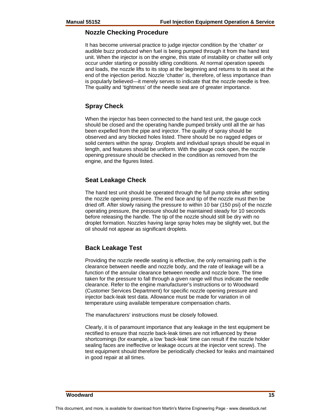#### **Nozzle Checking Procedure**

It has become universal practice to judge injector condition by the 'chatter' or audible buzz produced when fuel is being pumped through it from the hand test unit. When the injector is on the engine, this state of instability or chatter will only occur under starting or possibly idling conditions. At normal operation speeds and loads, the nozzle lifts to its stop at the beginning and returns to its seat at the end of the injection period. Nozzle 'chatter' is, therefore, of less importance than is popularly believed—it merely serves to indicate that the nozzle needle is free. The quality and 'tightness' of the needle seat are of greater importance.

#### **Spray Check**

When the injector has been connected to the hand test unit, the gauge cock should be closed and the operating handle pumped briskly until all the air has been expelled from the pipe and injector. The quality of spray should be observed and any blocked holes listed. There should be no ragged edges or solid centers within the spray. Droplets and individual sprays should be equal in length, and features should be uniform. With the gauge cock open, the nozzle opening pressure should be checked in the condition as removed from the engine, and the figures listed.

#### **Seat Leakage Check**

The hand test unit should be operated through the full pump stroke after setting the nozzle opening pressure. The end face and tip of the nozzle must then be dried off. After slowly raising the pressure to within 10 bar (150 psi) of the nozzle operating pressure, the pressure should be maintained steady for 10 seconds before releasing the handle. The tip of the nozzle should still be dry with no droplet formation. Nozzles having large spray holes may be slightly wet, but the oil should not appear as significant droplets.

#### **Back Leakage Test**

Providing the nozzle needle seating is effective, the only remaining path is the clearance between needle and nozzle body, and the rate of leakage will be a function of the annular clearance between needle and nozzle bore. The time taken for the pressure to fall through a given range will thus indicate the needle clearance. Refer to the engine manufacturer's instructions or to Woodward (Customer Services Department) for specific nozzle opening pressure and injector back-leak test data. Allowance must be made for variation in oil temperature using available temperature compensation charts.

The manufacturers' instructions must be closely followed.

Clearly, it is of paramount importance that any leakage in the test equipment be rectified to ensure that nozzle back-leak times are not influenced by these shortcomings (for example, a low 'back-leak' time can result if the nozzle holder sealing faces are ineffective or leakage occurs at the injector vent screw). The test equipment should therefore be periodically checked for leaks and maintained in good repair at all times.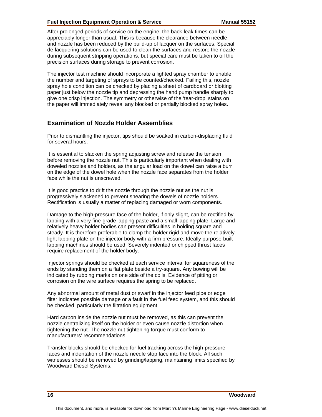#### **Fuel Injection Equipment Operation & Service Manual 55152**

After prolonged periods of service on the engine, the back-leak times can be appreciably longer than usual. This is because the clearance between needle and nozzle has been reduced by the build-up of lacquer on the surfaces. Special de-lacquering solutions can be used to clean the surfaces and restore the nozzle during subsequent stripping operations, but special care must be taken to oil the precision surfaces during storage to prevent corrosion.

The injector test machine should incorporate a lighted spray chamber to enable the number and targeting of sprays to be counted/checked. Failing this, nozzle spray hole condition can be checked by placing a sheet of cardboard or blotting paper just below the nozzle tip and depressing the hand pump handle sharply to give one crisp injection. The symmetry or otherwise of the 'tear-drop' stains on the paper will immediately reveal any blocked or partially blocked spray holes.

#### **Examination of Nozzle Holder Assemblies**

Prior to dismantling the injector, tips should be soaked in carbon-displacing fluid for several hours.

It is essential to slacken the spring adjusting screw and release the tension before removing the nozzle nut. This is particularly important when dealing with doweled nozzles and holders, as the angular load on the dowel can raise a burr on the edge of the dowel hole when the nozzle face separates from the holder face while the nut is unscrewed.

It is good practice to drift the nozzle through the nozzle nut as the nut is progressively slackened to prevent shearing the dowels of nozzle holders. Rectification is usually a matter of replacing damaged or worn components.

Damage to the high-pressure face of the holder, if only slight, can be rectified by lapping with a very fine-grade lapping paste and a small lapping plate. Large and relatively heavy holder bodies can present difficulties in holding square and steady. It is therefore preferable to clamp the holder rigid and move the relatively light lapping plate on the injector body with a firm pressure. Ideally purpose-built lapping machines should be used. Severely indented or chipped thrust faces require replacement of the holder body.

Injector springs should be checked at each service interval for squareness of the ends by standing them on a flat plate beside a try-square. Any bowing will be indicated by rubbing marks on one side of the coils. Evidence of pitting or corrosion on the wire surface requires the spring to be replaced.

Any abnormal amount of metal dust or swarf in the injector feed pipe or edge filter indicates possible damage or a fault in the fuel feed system, and this should be checked, particularly the filtration equipment.

Hard carbon inside the nozzle nut must be removed, as this can prevent the nozzle centralizing itself on the holder or even cause nozzle distortion when tightening the nut. The nozzle nut tightening torque must conform to manufacturers' recommendations.

Transfer blocks should be checked for fuel tracking across the high-pressure faces and indentation of the nozzle needle stop face into the block. All such witnesses should be removed by grinding/lapping, maintaining limits specified by Woodward Diesel Systems.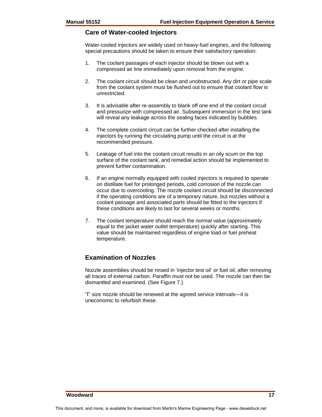#### **Care of Water-cooled Injectors**

Water-cooled injectors are widely used on heavy-fuel engines, and the following special precautions should be taken to ensure their satisfactory operation:

- 1. The coolant passages of each injector should be blown out with a compressed air line immediately upon removal from the engine.
- 2. The coolant circuit should be clean and unobstructed. Any dirt or pipe scale from the coolant system must be flushed out to ensure that coolant flow is unrestricted.
- 3. It is advisable after re-assembly to blank off one end of the coolant circuit and pressurize with compressed air. Subsequent immersion in the test tank will reveal any leakage across the sealing faces indicated by bubbles.
- 4. The complete coolant circuit can be further checked after installing the injectors by running the circulating pump until the circuit is at the recommended pressure.
- 5. Leakage of fuel into the coolant circuit results in an oily scum on the top surface of the coolant tank, and remedial action should be implemented to prevent further contamination.
- 6. If an engine normally equipped with cooled injectors is required to operate on distillate fuel for prolonged periods, cold corrosion of the nozzle can occur due to overcooling. The nozzle coolant circuit should be disconnected if the operating conditions are of a temporary nature, but nozzles without a coolant passage and associated parts should be fitted to the injectors if these conditions are likely to last for several weeks or months.
- 7. The coolant temperature should reach the normal value (approximately equal to the jacket water outlet temperature) quickly after starting. This value should be maintained regardless of engine load or fuel preheat temperature.

#### **Examination of Nozzles**

Nozzle assemblies should be rinsed in 'injector test oil' or fuel oil, after removing all traces of external carbon. Paraffin must not be used. The nozzle can then be dismantled and examined. (See Figure 7.)

'T' size nozzle should be renewed at the agreed service intervals—it is uneconomic to refurbish these.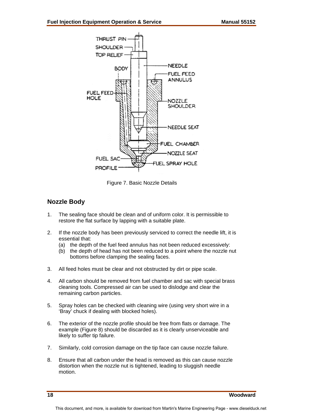

Figure 7. Basic Nozzle Details

#### **Nozzle Body**

- 1. The sealing face should be clean and of uniform color. It is permissible to restore the flat surface by lapping with a suitable plate.
- 2. If the nozzle body has been previously serviced to correct the needle lift, it is essential that:
	- (a) the depth of the fuel feed annulus has not been reduced excessively:
	- (b) the depth of head has not been reduced to a point where the nozzle nut bottoms before clamping the sealing faces.
- 3. All feed holes must be clear and not obstructed by dirt or pipe scale.
- 4. All carbon should be removed from fuel chamber and sac with special brass cleaning tools. Compressed air can be used to dislodge and clear the remaining carbon particles.
- 5. Spray holes can be checked with cleaning wire (using very short wire in a 'Bray' chuck if dealing with blocked holes).
- 6. The exterior of the nozzle profile should be free from flats or damage. The example (Figure 8) should be discarded as it is clearly unserviceable and likely to suffer tip failure.
- 7. Similarly, cold corrosion damage on the tip face can cause nozzle failure.
- 8. Ensure that all carbon under the head is removed as this can cause nozzle distortion when the nozzle nut is tightened, leading to sluggish needle motion.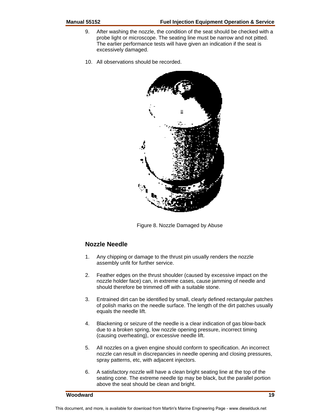- 9. After washing the nozzle, the condition of the seat should be checked with a probe light or microscope. The seating line must be narrow and not pitted. The earlier performance tests will have given an indication if the seat is excessively damaged.
- 10. All observations should be recorded.



Figure 8. Nozzle Damaged by Abuse

#### **Nozzle Needle**

- 1. Any chipping or damage to the thrust pin usually renders the nozzle assembly unfit for further service.
- 2. Feather edges on the thrust shoulder (caused by excessive impact on the nozzle holder face) can, in extreme cases, cause jamming of needle and should therefore be trimmed off with a suitable stone.
- 3. Entrained dirt can be identified by small, clearly defined rectangular patches of polish marks on the needle surface. The length of the dirt patches usually equals the needle lift.
- 4. Blackening or seizure of the needle is a clear indication of gas blow-back due to a broken spring, low nozzle opening pressure, incorrect timing (causing overheating), or excessive needle lift.
- 5. All nozzles on a given engine should conform to specification. An incorrect nozzle can result in discrepancies in needle opening and closing pressures, spray patterns, etc, with adjacent injectors.
- 6. A satisfactory nozzle will have a clean bright seating line at the top of the seating cone. The extreme needle tip may be black, but the parallel portion above the seat should be clean and bright.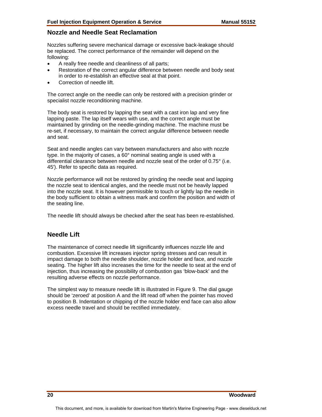#### **Nozzle and Needle Seat Reclamation**

Nozzles suffering severe mechanical damage or excessive back-leakage should be replaced. The correct performance of the remainder will depend on the following:

- A really free needle and cleanliness of all parts;
- Restoration of the correct angular difference between needle and body seat in order to re-establish an effective seal at that point.
- Correction of needle lift.

The correct angle on the needle can only be restored with a precision grinder or specialist nozzle reconditioning machine.

The body seat is restored by lapping the seat with a cast iron lap and very fine lapping paste. The lap itself wears with use, and the correct angle must be maintained by grinding on the needle-grinding machine. The machine must be re-set, if necessary, to maintain the correct angular difference between needle and seat.

Seat and needle angles can vary between manufacturers and also with nozzle type. In the majority of cases, a 60° nominal seating angle is used with a differential clearance between needle and nozzle seat of the order of 0.75° (i.e. 45'). Refer to specific data as required.

Nozzle performance will not be restored by grinding the needle seat and lapping the nozzle seat to identical angles, and the needle must not be heavily lapped into the nozzle seat. It is however permissible to touch or lightly lap the needle in the body sufficient to obtain a witness mark and confirm the position and width of the seating line.

The needle lift should always be checked after the seat has been re-established.

#### **Needle Lift**

The maintenance of correct needle lift significantly influences nozzle life and combustion. Excessive lift increases injector spring stresses and can result in impact damage to both the needle shoulder, nozzle holder and face, and nozzle seating. The higher lift also increases the time for the needle to seat at the end of injection, thus increasing the possibility of combustion gas 'blow-back' and the resulting adverse effects on nozzle performance.

The simplest way to measure needle lift is illustrated in Figure 9. The dial gauge should be 'zeroed' at position A and the lift read off when the pointer has moved to position B. Indentation or chipping of the nozzle holder end face can also allow excess needle travel and should be rectified immediately.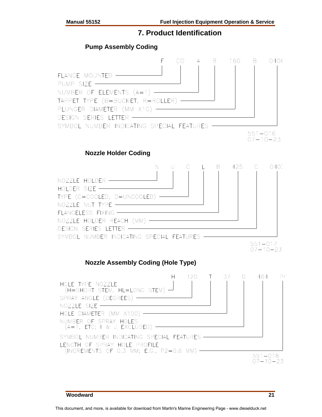#### **7. Product Identification**

#### **Pump Assembly Coding**

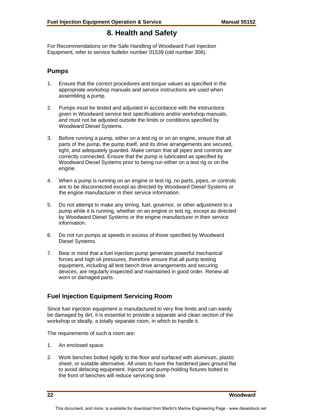## **8. Health and Safety**

For Recommendations on the Safe Handling of Woodward Fuel Injection Equipment, refer to service bulletin number 01539 (old number 308).

#### **Pumps**

- 1. Ensure that the correct procedures and torque values as specified in the appropriate workshop manuals and service instructions are used when assembling a pump.
- 2. Pumps must be tested and adjusted in accordance with the instructions given in Woodward service test specifications and/or workshop manuals, and must not be adjusted outside the limits or conditions specified by Woodward Diesel Systems.
- 3. Before running a pump, either on a test rig or on an engine, ensure that all parts of the pump, the pump itself, and its drive arrangements are secured, tight, and adequately guarded. Make certain that all pipes and controls are correctly connected. Ensure that the pump is lubricated as specified by Woodward Diesel Systems prior to being run either on a test rig or on the engine.
- 4. When a pump is running on an engine or test rig, no parts, pipes, or controls are to be disconnected except as directed by Woodward Diesel Systems or the engine manufacturer in their service information.
- 5. Do not attempt to make any timing, fuel, governor, or other adjustment to a pump while it is running, whether on an engine or test rig, except as directed by Woodward Diesel Systems or the engine manufacturer in their service information.
- 6. Do not run pumps at speeds in excess of those specified by Woodward Diesel Systems.
- 7. Bear in mind that a fuel injection pump generates powerful mechanical forces and high oil pressures, therefore ensure that all pump testing equipment, including all test bench drive arrangements and securing devices, are regularly inspected and maintained in good order. Renew all worn or damaged parts.

#### **Fuel Injection Equipment Servicing Room**

Since fuel injection equipment is manufactured to very fine limits and can easily be damaged by dirt, it is essential to provide a separate and clean section of the workshop or ideally, a totally separate room, in which to handle it.

The requirements of such a room are:

- 1. An enclosed space.
- 2. Work benches bolted rigidly to the floor and surfaced with aluminum, plastic sheet, or suitable alternative. All vises to have the hardened jaws ground flat to avoid defacing equipment. Injector and pump-holding fixtures bolted to the front of benches will reduce servicing time.